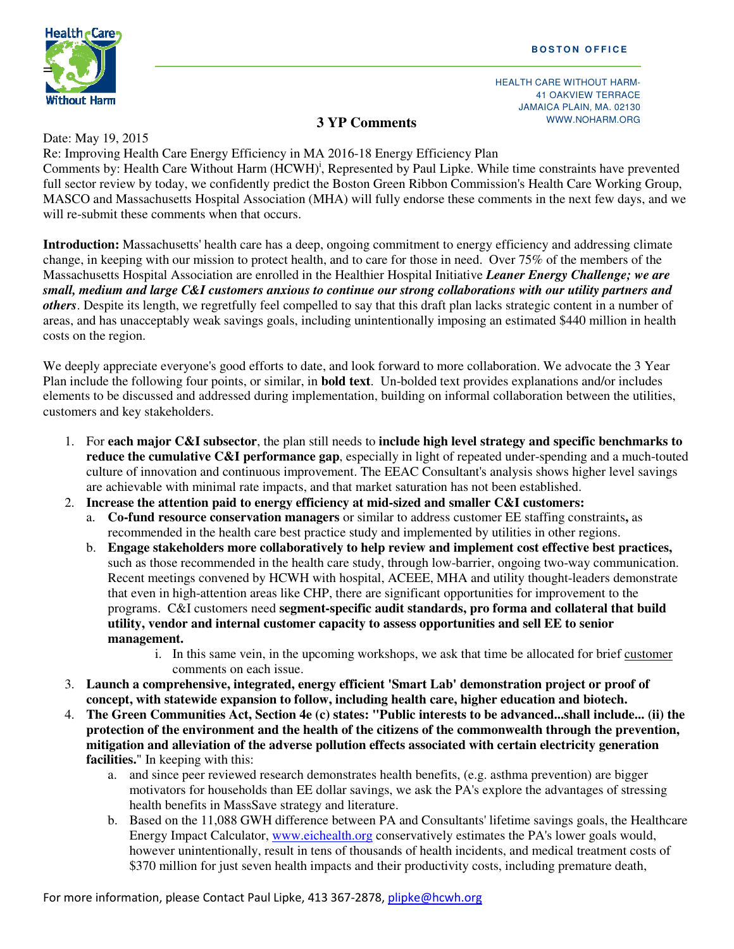

HEALTH CARE WITHOUT HARM-41 OAKVIEW TERRACE JAMAICA PLAIN, MA. 02130 WWW.NOHARM.ORG

## **3 YP Comments**

Date: May 19, 2015

Re: Improving Health Care Energy Efficiency in MA 2016-18 Energy Efficiency Plan Comments by: Health Care Without Harm (HCWH)<sup>i</sup>, Represented by Paul Lipke. While time constraints have prevented full sector review by today, we confidently predict the Boston Green Ribbon Commission's Health Care Working Group, MASCO and Massachusetts Hospital Association (MHA) will fully endorse these comments in the next few days, and we will re-submit these comments when that occurs.

**Introduction:** Massachusetts' health care has a deep, ongoing commitment to energy efficiency and addressing climate change, in keeping with our mission to protect health, and to care for those in need. Over 75% of the members of the Massachusetts Hospital Association are enrolled in the Healthier Hospital Initiative *Leaner Energy Challenge; we are small, medium and large C&I customers anxious to continue our strong collaborations with our utility partners and others*. Despite its length, we regretfully feel compelled to say that this draft plan lacks strategic content in a number of areas, and has unacceptably weak savings goals, including unintentionally imposing an estimated \$440 million in health costs on the region.

We deeply appreciate everyone's good efforts to date, and look forward to more collaboration. We advocate the 3 Year Plan include the following four points, or similar, in **bold text**. Un-bolded text provides explanations and/or includes elements to be discussed and addressed during implementation, building on informal collaboration between the utilities, customers and key stakeholders.

- 1. For **each major C&I subsector**, the plan still needs to **include high level strategy and specific benchmarks to reduce the cumulative C&I performance gap**, especially in light of repeated under-spending and a much-touted culture of innovation and continuous improvement. The EEAC Consultant's analysis shows higher level savings are achievable with minimal rate impacts, and that market saturation has not been established.
- 2. **Increase the attention paid to energy efficiency at mid-sized and smaller C&I customers:**
	- a. **Co-fund resource conservation managers** or similar to address customer EE staffing constraints**,** as recommended in the health care best practice study and implemented by utilities in other regions.
	- b. **Engage stakeholders more collaboratively to help review and implement cost effective best practices,**  such as those recommended in the health care study, through low-barrier, ongoing two-way communication. Recent meetings convened by HCWH with hospital, ACEEE, MHA and utility thought-leaders demonstrate that even in high-attention areas like CHP, there are significant opportunities for improvement to the programs. C&I customers need **segment-specific audit standards, pro forma and collateral that build utility, vendor and internal customer capacity to assess opportunities and sell EE to senior management.** 
		- i. In this same vein, in the upcoming workshops, we ask that time be allocated for brief customer comments on each issue.
- 3. **Launch a comprehensive, integrated, energy efficient 'Smart Lab' demonstration project or proof of concept, with statewide expansion to follow, including health care, higher education and biotech.**
- 4. **The Green Communities Act, Section 4e (c) states: "Public interests to be advanced...shall include... (ii) the protection of the environment and the health of the citizens of the commonwealth through the prevention, mitigation and alleviation of the adverse pollution effects associated with certain electricity generation facilities.**" In keeping with this:
	- a. and since peer reviewed research demonstrates health benefits, (e.g. asthma prevention) are bigger motivators for households than EE dollar savings, we ask the PA's explore the advantages of stressing health benefits in MassSave strategy and literature.
	- b. Based on the 11,088 GWH difference between PA and Consultants' lifetime savings goals, the Healthcare Energy Impact Calculator, www.eichealth.org conservatively estimates the PA's lower goals would, however unintentionally, result in tens of thousands of health incidents, and medical treatment costs of \$370 million for just seven health impacts and their productivity costs, including premature death,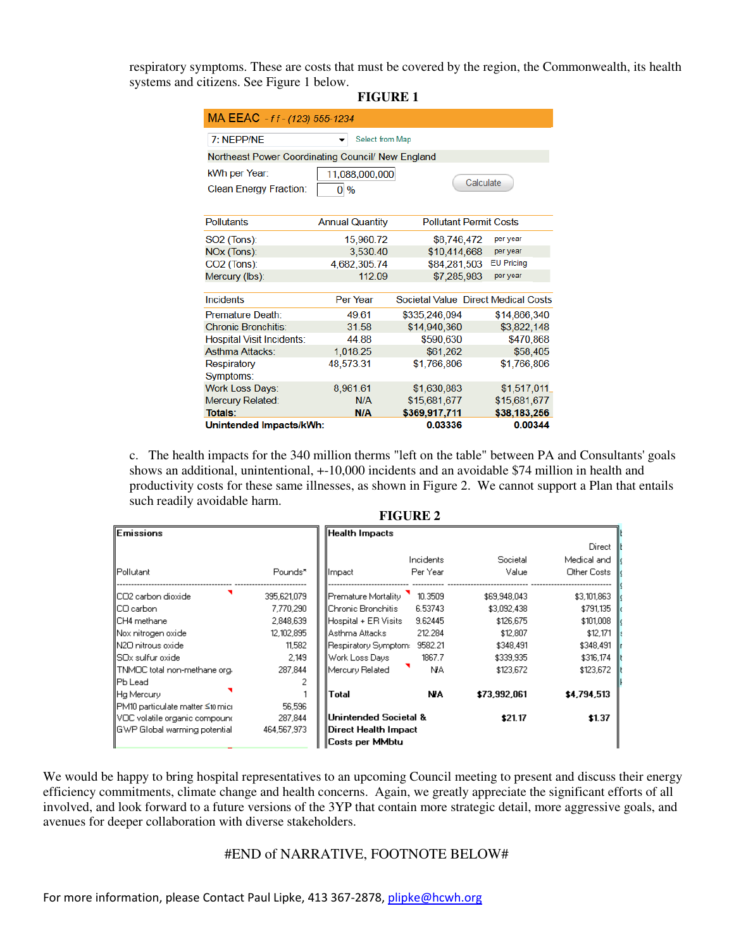respiratory symptoms. These are costs that must be covered by the region, the Commonwealth, its health systems and citizens. See Figure 1 below.

**FIGURE 1** 

| MA EEAC - ff - (123) 555-1234                     |                                 |                                     |                   |  |  |  |  |  |  |
|---------------------------------------------------|---------------------------------|-------------------------------------|-------------------|--|--|--|--|--|--|
| 7: NEPP/NF                                        | Select from Map                 |                                     |                   |  |  |  |  |  |  |
| Northeast Power Coordinating Council/ New England |                                 |                                     |                   |  |  |  |  |  |  |
| kWh per Year:                                     | 11,088,000,000                  | Calculate                           |                   |  |  |  |  |  |  |
| <b>Clean Energy Fraction:</b>                     | $\overline{0}$<br>$\frac{0}{0}$ |                                     |                   |  |  |  |  |  |  |
| <b>Pollutants</b>                                 | <b>Annual Quantity</b>          | <b>Pollutant Permit Costs</b>       |                   |  |  |  |  |  |  |
| <b>SO2</b> (Tons):                                | 15,960.72                       | \$8,746,472                         | per year          |  |  |  |  |  |  |
| NOx (Tons):                                       | 3,530.40                        | \$10,414,668                        | per year          |  |  |  |  |  |  |
| $CO2$ (Tons):                                     | 4,682,305.74                    | \$84,281,503                        | <b>EU Pricing</b> |  |  |  |  |  |  |
| Mercury (lbs):                                    | 112 09                          | \$7,285,983                         | per year          |  |  |  |  |  |  |
| Incidents                                         | Per Year                        | Societal Value Direct Medical Costs |                   |  |  |  |  |  |  |
| Premature Death:                                  | 49.61                           | \$335,246,094                       | \$14,866,340      |  |  |  |  |  |  |
| <b>Chronic Bronchitis:</b>                        | 31.58                           | \$14,940,360                        | \$3,822,148       |  |  |  |  |  |  |
| <b>Hospital Visit Incidents:</b>                  | 44.88                           | \$590,630                           | \$470,868         |  |  |  |  |  |  |
| <b>Asthma Attacks:</b>                            | 1,018.25                        | \$61,262                            | \$58,405          |  |  |  |  |  |  |
| Respiratory                                       | 48,573.31                       | \$1,766,806                         | \$1,766,806       |  |  |  |  |  |  |
| Symptoms:                                         |                                 |                                     |                   |  |  |  |  |  |  |
| <b>Work Loss Days:</b>                            | 8,961.61                        | \$1,630,883                         | \$1,517,011       |  |  |  |  |  |  |
| Mercury Related:                                  | N/A                             | \$15,681,677                        | \$15,681,677      |  |  |  |  |  |  |
| Totals:                                           | <b>N/A</b>                      | \$369,917,711                       | \$38,183,256      |  |  |  |  |  |  |
| Unintended Impacts/kWh:                           |                                 | 0.03336                             | 0.00344           |  |  |  |  |  |  |

c. The health impacts for the 340 million therms "left on the table" between PA and Consultants' goals shows an additional, unintentional, +-10,000 incidents and an avoidable \$74 million in health and productivity costs for these same illnesses, as shown in Figure 2. We cannot support a Plan that entails such readily avoidable harm.

| TIUUINE 4                         |             |                       |           |              |             |  |  |
|-----------------------------------|-------------|-----------------------|-----------|--------------|-------------|--|--|
| <b>Emissions</b>                  |             | ∥Health Impacts       |           |              |             |  |  |
|                                   |             |                       |           |              | Direct      |  |  |
|                                   |             |                       | Incidents | Societal     | Medical and |  |  |
| <b>I</b> Pollutant                | Pounds*     | Impact                | Per Year  | Value        | Other Costs |  |  |
| IICO2 carbon dioxide              | 395,621,079 | Premature Mortality   | 10.3509   | \$69,948,043 | \$3,101,863 |  |  |
| IICO carbon                       | 7,770,290   | llChronic Bronchitis. | 6.53743   | \$3,092,438  | \$791,135   |  |  |
| IICH4 methane                     | 2,848,639   | Hospital + ER Visits  | 9.62445   | \$126.675    | \$101,008   |  |  |
| Nox nitrogen oxide                | 12,102,895  | llAsthma Attacks      | 212.284   | \$12,807     | \$12,171    |  |  |
| IN2O nitrous oxide                | 11,582      | Respiratory Symptom:  | 9582.21   | \$348,491    | \$348,491   |  |  |
| IISOx sulfur oxide.               | 2.149       | ∥Work Loss Days       | 1867.7    | \$339,935    | \$316,174   |  |  |
| TNMOC total non-methane org.      | 287,844     | Mercury Related       | NA.       | \$123,672    | \$123,672   |  |  |
| <b>IPb</b> Lead                   | o           |                       |           |              |             |  |  |
| Hg Mercury                        |             | Total                 | NA.       | \$73,992,061 | \$4,794,513 |  |  |
| ∥PM10 particulate matter ≤10 mici | 56,596      |                       |           |              |             |  |  |
| VOC volatile organic compound     | 287,844     | Unintended Societal & |           | \$21.17      | \$1.37      |  |  |
| IGWP Global warming potential     | 464,567,973 | Direct Health Impact  |           |              |             |  |  |
|                                   |             | Costs per MMbtu       |           |              |             |  |  |

**FICUDE 2** 

We would be happy to bring hospital representatives to an upcoming Council meeting to present and discuss their energy efficiency commitments, climate change and health concerns. Again, we greatly appreciate the significant efforts of all involved, and look forward to a future versions of the 3YP that contain more strategic detail, more aggressive goals, and avenues for deeper collaboration with diverse stakeholders.

## #END of NARRATIVE, FOOTNOTE BELOW#